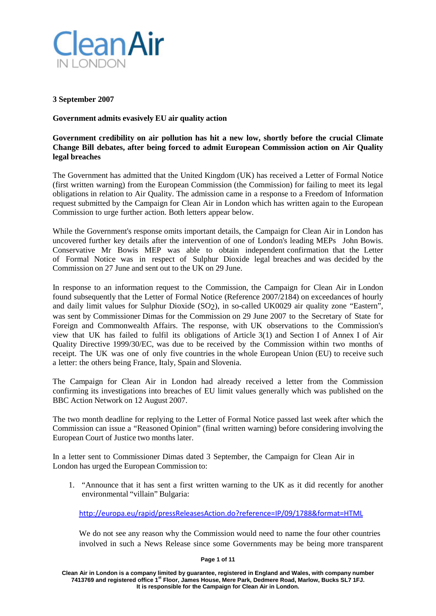

### **3 September 2007**

**Government admits evasively EU air quality action**

## **Government credibility on air pollution has hit a new low, shortly before the crucial Climate Change Bill debates, after being forced to admit European Commission action on Air Quality legal breaches**

The Government has admitted that the United Kingdom (UK) has received a Letter of Formal Notice (first written warning) from the European Commission (the Commission) for failing to meet its legal obligations in relation to Air Quality. The admission came in a response to a Freedom of Information request submitted by the Campaign for Clean Air in London which has written again to the European Commission to urge further action. Both letters appear below.

While the Government's response omits important details, the Campaign for Clean Air in London has uncovered further key details after the intervention of one of London's leading MEPs John Bowis. Conservative Mr Bowis MEP was able to obtain independent confirmation that the Letter of Formal Notice was in respect of Sulphur Dioxide legal breaches and was decided by the Commission on 27 June and sent out to the UK on 29 June.

In response to an information request to the Commission, the Campaign for Clean Air in London found subsequently that the Letter of Formal Notice (Reference 2007/2184) on exceedances of hourly and daily limit values for Sulphur Dioxide (SO2), in so-called UK0029 air quality zone "Eastern", was sent by Commissioner Dimas for the Commission on 29 June 2007 to the Secretary of State for Foreign and Commonwealth Affairs. The response, with UK observations to the Commission's view that UK has failed to fulfil its obligations of Article 3(1) and Section I of Annex I of Air Quality Directive 1999/30/EC, was due to be received by the Commission within two months of receipt. The UK was one of only five countries in the whole European Union (EU) to receive such a letter: the others being France, Italy, Spain and Slovenia.

The Campaign for Clean Air in London had already received a letter from the Commission confirming its investigations into breaches of EU limit values generally which was published on the BBC Action Network on 12 August 2007.

The two month deadline for replying to the Letter of Formal Notice passed last week after which the Commission can issue a "Reasoned Opinion" (final written warning) before considering involving the European Court of Justice two months later.

In a letter sent to Commissioner Dimas dated 3 September, the Campaign for Clean Air in London has urged the European Commission to:

1. "Announce that it has sent a first written warning to the UK as it did recently for another environmental "villain" Bulgaria:

<http://europa.eu/rapid/pressReleasesAction.do?reference=IP/09/1788&format=HTML>

We do not see any reason why the Commission would need to name the four other countries involved in such a News Release since some Governments may be being more transparent

**Page 1 of 11**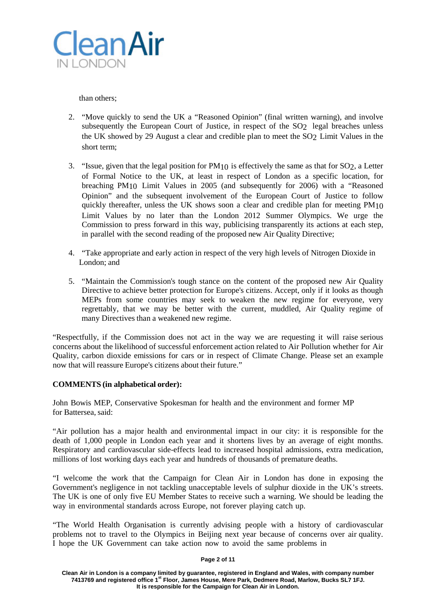

than others;

- 2. "Move quickly to send the UK a "Reasoned Opinion" (final written warning), and involve subsequently the European Court of Justice, in respect of the SO<sub>2</sub> legal breaches unless the UK showed by 29 August a clear and credible plan to meet the SO2 Limit Values in the short term;
- 3. "Issue, given that the legal position for  $PM_{10}$  is effectively the same as that for SO2, a Letter of Formal Notice to the UK, at least in respect of London as a specific location, for breaching PM10 Limit Values in 2005 (and subsequently for 2006) with a "Reasoned Opinion" and the subsequent involvement of the European Court of Justice to follow quickly thereafter, unless the UK shows soon a clear and credible plan for meeting  $PM_{10}$ Limit Values by no later than the London 2012 Summer Olympics. We urge the Commission to press forward in this way, publicising transparently its actions at each step, in parallel with the second reading of the proposed new Air Quality Directive;
- 4. "Take appropriate and early action in respect of the very high levels of Nitrogen Dioxide in London; and
- 5. "Maintain the Commission's tough stance on the content of the proposed new Air Quality Directive to achieve better protection for Europe's citizens. Accept, only if it looks as though MEPs from some countries may seek to weaken the new regime for everyone, very regrettably, that we may be better with the current, muddled, Air Quality regime of many Directives than a weakened new regime.

"Respectfully, if the Commission does not act in the way we are requesting it will raise serious concerns about the likelihood of successful enforcement action related to Air Pollution whether for Air Quality, carbon dioxide emissions for cars or in respect of Climate Change. Please set an example now that will reassure Europe's citizens about their future."

## **COMMENTS (in alphabetical order):**

John Bowis MEP, Conservative Spokesman for health and the environment and former MP for Battersea, said:

"Air pollution has a major health and environmental impact in our city: it is responsible for the death of 1,000 people in London each year and it shortens lives by an average of eight months. Respiratory and cardiovascular side-effects lead to increased hospital admissions, extra medication, millions of lost working days each year and hundreds of thousands of premature deaths.

"I welcome the work that the Campaign for Clean Air in London has done in exposing the Government's negligence in not tackling unacceptable levels of sulphur dioxide in the UK's streets. The UK is one of only five EU Member States to receive such a warning. We should be leading the way in environmental standards across Europe, not forever playing catch up.

"The World Health Organisation is currently advising people with a history of cardiovascular problems not to travel to the Olympics in Beijing next year because of concerns over air quality. I hope the UK Government can take action now to avoid the same problems in

### **Page 2 of 11**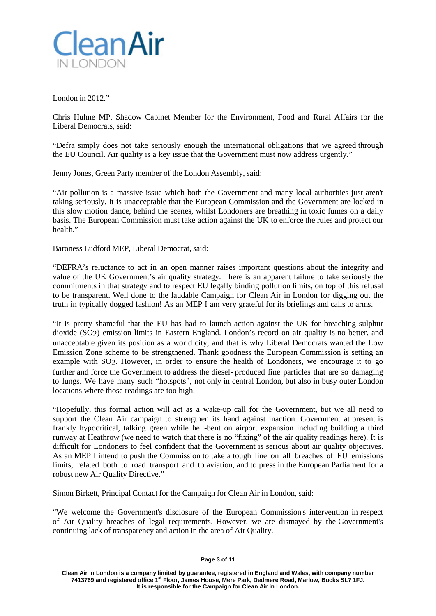

London in 2012."

Chris Huhne MP, Shadow Cabinet Member for the Environment, Food and Rural Affairs for the Liberal Democrats, said:

"Defra simply does not take seriously enough the international obligations that we agreed through the EU Council. Air quality is a key issue that the Government must now address urgently."

Jenny Jones, Green Party member of the London Assembly, said:

"Air pollution is a massive issue which both the Government and many local authorities just aren't taking seriously. It is unacceptable that the European Commission and the Government are locked in this slow motion dance, behind the scenes, whilst Londoners are breathing in toxic fumes on a daily basis. The European Commission must take action against the UK to enforce the rules and protect our health."

Baroness Ludford MEP, Liberal Democrat, said:

"DEFRA's reluctance to act in an open manner raises important questions about the integrity and value of the UK Government's air quality strategy. There is an apparent failure to take seriously the commitments in that strategy and to respect EU legally binding pollution limits, on top of this refusal to be transparent. Well done to the laudable Campaign for Clean Air in London for digging out the truth in typically dogged fashion! As an MEP I am very grateful for its briefings and calls to arms.

"It is pretty shameful that the EU has had to launch action against the UK for breaching sulphur dioxide (SO2) emission limits in Eastern England. London's record on air quality is no better, and unacceptable given its position as a world city, and that is why Liberal Democrats wanted the Low Emission Zone scheme to be strengthened. Thank goodness the European Commission is setting an example with SO<sub>2</sub>. However, in order to ensure the health of Londoners, we encourage it to go further and force the Government to address the diesel- produced fine particles that are so damaging to lungs. We have many such "hotspots", not only in central London, but also in busy outer London locations where those readings are too high.

"Hopefully, this formal action will act as a wake-up call for the Government, but we all need to support the Clean Air campaign to strengthen its hand against inaction. Government at present is frankly hypocritical, talking green while hell-bent on airport expansion including building a third runway at Heathrow (we need to watch that there is no "fixing" of the air quality readings here). It is difficult for Londoners to feel confident that the Government is serious about air quality objectives. As an MEP I intend to push the Commission to take a tough line on all breaches of EU emissions limits, related both to road transport and to aviation, and to press in the European Parliament for a robust new Air Quality Directive."

Simon Birkett, Principal Contact for the Campaign for Clean Air in London, said:

"We welcome the Government's disclosure of the European Commission's intervention in respect of Air Quality breaches of legal requirements. However, we are dismayed by the Government's continuing lack of transparency and action in the area of Air Quality.

**Clean Air in London is a company limited by guarantee, registered in England and Wales, with company number 7413769 and registered office 1st Floor, James House, Mere Park, Dedmere Road, Marlow, Bucks SL7 1FJ. It is responsible for the Campaign for Clean Air in London.**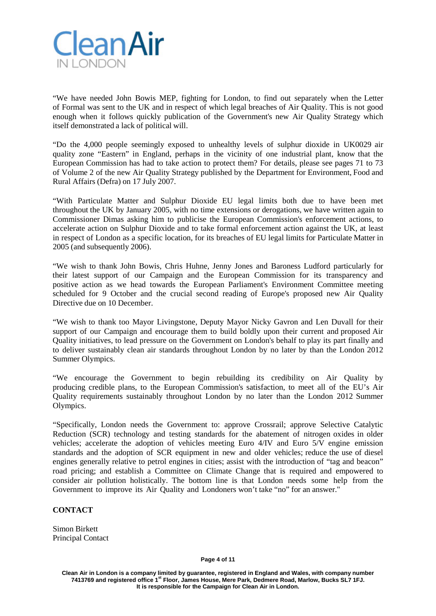

"We have needed John Bowis MEP, fighting for London, to find out separately when the Letter of Formal was sent to the UK and in respect of which legal breaches of Air Quality. This is not good enough when it follows quickly publication of the Government's new Air Quality Strategy which itself demonstrated a lack of political will.

"Do the 4,000 people seemingly exposed to unhealthy levels of sulphur dioxide in UK0029 air quality zone "Eastern" in England, perhaps in the vicinity of one industrial plant, know that the European Commission has had to take action to protect them? For details, please see pages 71 to 73 of Volume 2 of the new Air Quality Strategy published by the Department for Environment, Food and Rural Affairs (Defra) on 17 July 2007.

"With Particulate Matter and Sulphur Dioxide EU legal limits both due to have been met throughout the UK by January 2005, with no time extensions or derogations, we have written again to Commissioner Dimas asking him to publicise the European Commission's enforcement actions, to accelerate action on Sulphur Dioxide and to take formal enforcement action against the UK, at least in respect of London as a specific location, for its breaches of EU legal limits for Particulate Matter in 2005 (and subsequently 2006).

"We wish to thank John Bowis, Chris Huhne, Jenny Jones and Baroness Ludford particularly for their latest support of our Campaign and the European Commission for its transparency and positive action as we head towards the European Parliament's Environment Committee meeting scheduled for 9 October and the crucial second reading of Europe's proposed new Air Quality Directive due on 10 December.

"We wish to thank too Mayor Livingstone, Deputy Mayor Nicky Gavron and Len Duvall for their support of our Campaign and encourage them to build boldly upon their current and proposed Air Quality initiatives, to lead pressure on the Government on London's behalf to play its part finally and to deliver sustainably clean air standards throughout London by no later by than the London 2012 Summer Olympics.

"We encourage the Government to begin rebuilding its credibility on Air Quality by producing credible plans, to the European Commission's satisfaction, to meet all of the EU's Air Quality requirements sustainably throughout London by no later than the London 2012 Summer Olympics.

"Specifically, London needs the Government to: approve Crossrail; approve Selective Catalytic Reduction (SCR) technology and testing standards for the abatement of nitrogen oxides in older vehicles; accelerate the adoption of vehicles meeting Euro 4/IV and Euro 5/V engine emission standards and the adoption of SCR equipment in new and older vehicles; reduce the use of diesel engines generally relative to petrol engines in cities; assist with the introduction of "tag and beacon" road pricing; and establish a Committee on Climate Change that is required and empowered to consider air pollution holistically. The bottom line is that London needs some help from the Government to improve its Air Quality and Londoners won't take "no" for an answer."

### **CONTACT**

Simon Birkett Principal Contact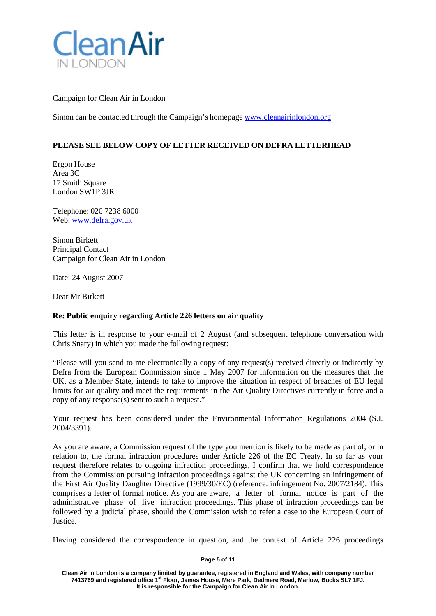

Campaign for Clean Air in London

Simon can be contacted through the Campaign's homepage [www.cleanairinlondon.org](http://www.cleanairinlondon.org/)

## **PLEASE SEE BELOW COPY OF LETTER RECEIVED ON DEFRA LETTERHEAD**

Ergon House Area 3C 17 Smith Square London SW1P 3JR

Telephone: 020 7238 6000 Web: [www.defra.gov.uk](http://www.defra.gov.uk/)

Simon Birkett Principal Contact Campaign for Clean Air in London

Date: 24 August 2007

Dear Mr Birkett

### **Re: Public enquiry regarding Article 226 letters on air quality**

This letter is in response to your e-mail of 2 August (and subsequent telephone conversation with Chris Snary) in which you made the following request:

"Please will you send to me electronically a copy of any request(s) received directly or indirectly by Defra from the European Commission since 1 May 2007 for information on the measures that the UK, as a Member State, intends to take to improve the situation in respect of breaches of EU legal limits for air quality and meet the requirements in the Air Quality Directives currently in force and a copy of any response(s) sent to such a request."

Your request has been considered under the Environmental Information Regulations 2004 (S.I. 2004/3391).

As you are aware, a Commission request of the type you mention is likely to be made as part of, or in relation to, the formal infraction procedures under Article 226 of the EC Treaty. In so far as your request therefore relates to ongoing infraction proceedings, I confirm that we hold correspondence from the Commission pursuing infraction proceedings against the UK concerning an infringement of the First Air Quality Daughter Directive (1999/30/EC) (reference: infringement No. 2007/2184). This comprises a letter of formal notice. As you are aware, a letter of formal notice is part of the administrative phase of live infraction proceedings. This phase of infraction proceedings can be followed by a judicial phase, should the Commission wish to refer a case to the European Court of Justice.

Having considered the correspondence in question, and the context of Article 226 proceedings

### **Page 5 of 11**

**Clean Air in London is a company limited by guarantee, registered in England and Wales, with company number 7413769 and registered office 1st Floor, James House, Mere Park, Dedmere Road, Marlow, Bucks SL7 1FJ. It is responsible for the Campaign for Clean Air in London.**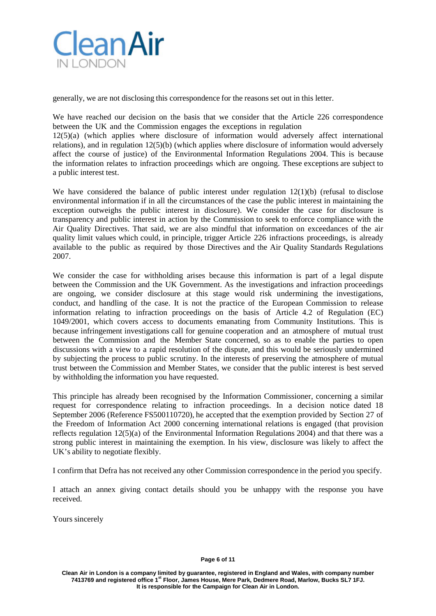

generally, we are not disclosing this correspondence for the reasons set out in this letter.

We have reached our decision on the basis that we consider that the Article 226 correspondence between the UK and the Commission engages the exceptions in regulation

12(5)(a) (which applies where disclosure of information would adversely affect international relations), and in regulation 12(5)(b) (which applies where disclosure of information would adversely affect the course of justice) of the Environmental Information Regulations 2004. This is because the information relates to infraction proceedings which are ongoing. These exceptions are subject to a public interest test.

We have considered the balance of public interest under regulation  $12(1)(b)$  (refusal to disclose environmental information if in all the circumstances of the case the public interest in maintaining the exception outweighs the public interest in disclosure). We consider the case for disclosure is transparency and public interest in action by the Commission to seek to enforce compliance with the Air Quality Directives. That said, we are also mindful that information on exceedances of the air quality limit values which could, in principle, trigger Article 226 infractions proceedings, is already available to the public as required by those Directives and the Air Quality Standards Regulations 2007.

We consider the case for withholding arises because this information is part of a legal dispute between the Commission and the UK Government. As the investigations and infraction proceedings are ongoing, we consider disclosure at this stage would risk undermining the investigations, conduct, and handling of the case. It is not the practice of the European Commission to release information relating to infraction proceedings on the basis of Article 4.2 of Regulation (EC) 1049/2001, which covers access to documents emanating from Community Institutions. This is because infringement investigations call for genuine cooperation and an atmosphere of mutual trust between the Commission and the Member State concerned, so as to enable the parties to open discussions with a view to a rapid resolution of the dispute, and this would be seriously undermined by subjecting the process to public scrutiny. In the interests of preserving the atmosphere of mutual trust between the Commission and Member States, we consider that the public interest is best served by withholding the information you have requested.

This principle has already been recognised by the Information Commissioner, concerning a similar request for correspondence relating to infraction proceedings. In a decision notice dated 18 September 2006 (Reference FS500110720), he accepted that the exemption provided by Section 27 of the Freedom of Information Act 2000 concerning international relations is engaged (that provision reflects regulation 12(5)(a) of the Environmental Information Regulations 2004) and that there was a strong public interest in maintaining the exemption. In his view, disclosure was likely to affect the UK's ability to negotiate flexibly.

I confirm that Defra has not received any other Commission correspondence in the period you specify.

I attach an annex giving contact details should you be unhappy with the response you have received.

Yours sincerely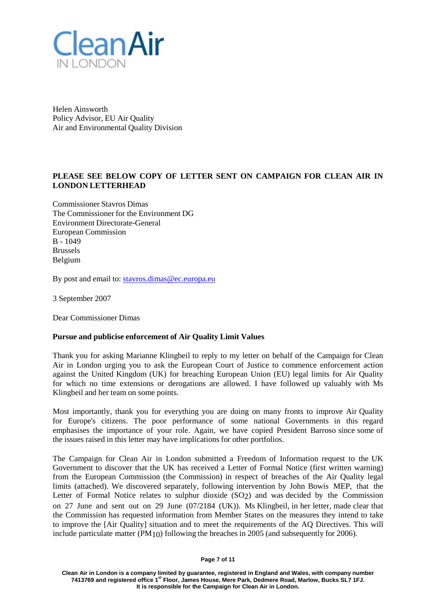

Helen Ainsworth Policy Advisor, EU Air Quality Air and Environmental Quality Division

# **PLEASE SEE BELOW COPY OF LETTER SENT ON CAMPAIGN FOR CLEAN AIR IN LONDON LETTERHEAD**

Commissioner Stavros Dimas The Commissioner for the Environment DG Environment Directorate-General European Commission B - 1049 Brussels Belgium

By post and email to: [stavros.dimas@ec.europa.eu](mailto:stavros.dimas@ec.europa.eu)

3 September 2007

Dear Commissioner Dimas

### **Pursue and publicise enforcement of Air Quality Limit Values**

Thank you for asking Marianne Klingbeil to reply to my letter on behalf of the Campaign for Clean Air in London urging you to ask the European Court of Justice to commence enforcement action against the United Kingdom (UK) for breaching European Union (EU) legal limits for Air Quality for which no time extensions or derogations are allowed. I have followed up valuably with Ms Klingbeil and her team on some points.

Most importantly, thank you for everything you are doing on many fronts to improve Air Quality for Europe's citizens. The poor performance of some national Governments in this regard emphasises the importance of your role. Again, we have copied President Barroso since some of the issues raised in this letter may have implications for other portfolios.

The Campaign for Clean Air in London submitted a Freedom of Information request to the UK Government to discover that the UK has received a Letter of Formal Notice (first written warning) from the European Commission (the Commission) in respect of breaches of the Air Quality legal limits (attached). We discovered separately, following intervention by John Bowis MEP, that the Letter of Formal Notice relates to sulphur dioxide (SO2) and was decided by the Commission on 27 June and sent out on 29 June (07/2184 (UK)). Ms Klingbeil, in her letter, made clear that the Commission has requested information from Member States on the measures they intend to take to improve the [Air Quality] situation and to meet the requirements of the AQ Directives. This will include particulate matter (PM10) following the breaches in 2005 (and subsequently for 2006).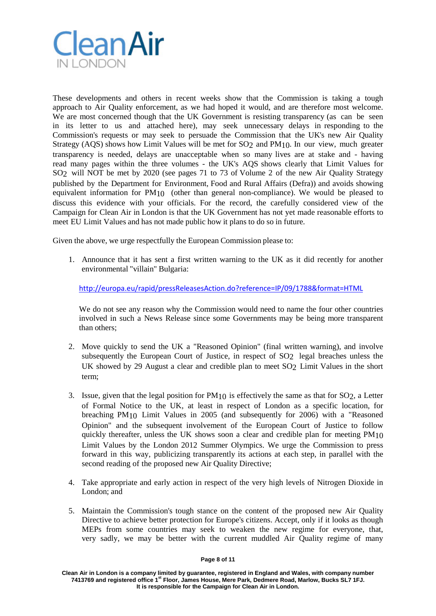

These developments and others in recent weeks show that the Commission is taking a tough approach to Air Quality enforcement, as we had hoped it would, and are therefore most welcome. We are most concerned though that the UK Government is resisting transparency (as can be seen in its letter to us and attached here), may seek unnecessary delays in responding to the Commission's requests or may seek to persuade the Commission that the UK's new Air Quality Strategy (AQS) shows how Limit Values will be met for SO2 and PM10. In our view, much greater transparency is needed, delays are unacceptable when so many lives are at stake and - having read many pages within the three volumes - the UK's AQS shows clearly that Limit Values for SO2 will NOT be met by 2020 (see pages 71 to 73 of Volume 2 of the new Air Quality Strategy published by the Department for Environment, Food and Rural Affairs (Defra)) and avoids showing equivalent information for PM10 (other than general non-compliance). We would be pleased to discuss this evidence with your officials. For the record, the carefully considered view of the Campaign for Clean Air in London is that the UK Government has not yet made reasonable efforts to meet EU Limit Values and has not made public how it plans to do so in future.

Given the above, we urge respectfully the European Commission please to:

1. Announce that it has sent a first written warning to the UK as it did recently for another environmental "villain" Bulgaria:

<http://europa.eu/rapid/pressReleasesAction.do?reference=IP/09/1788&format=HTML>

We do not see any reason why the Commission would need to name the four other countries involved in such a News Release since some Governments may be being more transparent than others;

- 2. Move quickly to send the UK a "Reasoned Opinion" (final written warning), and involve subsequently the European Court of Justice, in respect of SO2 legal breaches unless the UK showed by 29 August a clear and credible plan to meet SO2 Limit Values in the short term;
- 3. Issue, given that the legal position for  $PM_{10}$  is effectively the same as that for SO<sub>2</sub>, a Letter of Formal Notice to the UK, at least in respect of London as a specific location, for breaching PM10 Limit Values in 2005 (and subsequently for 2006) with a "Reasoned Opinion" and the subsequent involvement of the European Court of Justice to follow quickly thereafter, unless the UK shows soon a clear and credible plan for meeting  $PM_{10}$ Limit Values by the London 2012 Summer Olympics. We urge the Commission to press forward in this way, publicizing transparently its actions at each step, in parallel with the second reading of the proposed new Air Quality Directive;
- 4. Take appropriate and early action in respect of the very high levels of Nitrogen Dioxide in London; and
- 5. Maintain the Commission's tough stance on the content of the proposed new Air Quality Directive to achieve better protection for Europe's citizens. Accept, only if it looks as though MEPs from some countries may seek to weaken the new regime for everyone, that, very sadly, we may be better with the current muddled Air Quality regime of many

### **Page 8 of 11**

**Clean Air in London is a company limited by guarantee, registered in England and Wales, with company number 7413769 and registered office 1st Floor, James House, Mere Park, Dedmere Road, Marlow, Bucks SL7 1FJ. It is responsible for the Campaign for Clean Air in London.**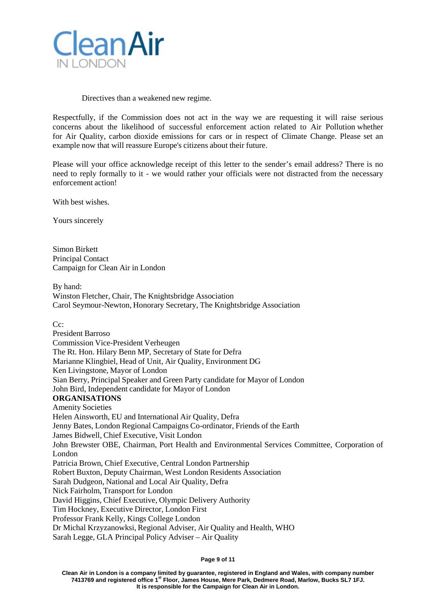

### Directives than a weakened new regime.

Respectfully, if the Commission does not act in the way we are requesting it will raise serious concerns about the likelihood of successful enforcement action related to Air Pollution whether for Air Quality, carbon dioxide emissions for cars or in respect of Climate Change. Please set an example now that will reassure Europe's citizens about their future.

Please will your office acknowledge receipt of this letter to the sender's email address? There is no need to reply formally to it - we would rather your officials were not distracted from the necessary enforcement action!

With best wishes.

Yours sincerely

Simon Birkett Principal Contact Campaign for Clean Air in London

By hand:

Winston Fletcher, Chair, The Knightsbridge Association Carol Seymour-Newton, Honorary Secretary, The Knightsbridge Association

C<sub>c</sub>:

President Barroso Commission Vice-President Verheugen The Rt. Hon. Hilary Benn MP, Secretary of State for Defra Marianne Klingbiel, Head of Unit, Air Quality, Environment DG Ken Livingstone, Mayor of London Sian Berry, Principal Speaker and Green Party candidate for Mayor of London John Bird, Independent candidate for Mayor of London **ORGANISATIONS** Amenity Societies Helen Ainsworth, EU and International Air Quality, Defra Jenny Bates, London Regional Campaigns Co-ordinator, Friends of the Earth James Bidwell, Chief Executive, Visit London John Brewster OBE, Chairman, Port Health and Environmental Services Committee, Corporation of London Patricia Brown, Chief Executive, Central London Partnership Robert Buxton, Deputy Chairman, West London Residents Association Sarah Dudgeon, National and Local Air Quality, Defra Nick Fairholm, Transport for London David Higgins, Chief Executive, Olympic Delivery Authority Tim Hockney, Executive Director, London First Professor Frank Kelly, Kings College London Dr Michal Krzyzanowksi, Regional Adviser, Air Quality and Health, WHO Sarah Legge, GLA Principal Policy Adviser – Air Quality

**Page 9 of 11**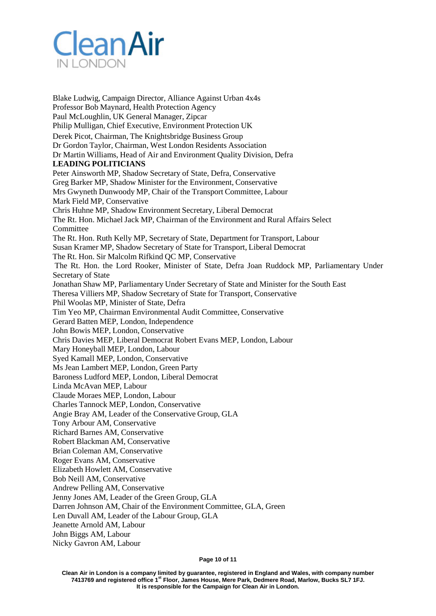

Blake Ludwig, Campaign Director, Alliance Against Urban 4x4s Professor Bob Maynard, Health Protection Agency Paul McLoughlin, UK General Manager, Zipcar Philip Mulligan, Chief Executive, Environment Protection UK Derek Picot, Chairman, The Knightsbridge Business Group Dr Gordon Taylor, Chairman, West London Residents Association Dr Martin Williams, Head of Air and Environment Quality Division, Defra **LEADING POLITICIANS** Peter Ainsworth MP, Shadow Secretary of State, Defra, Conservative Greg Barker MP, Shadow Minister for the Environment, Conservative Mrs Gwyneth Dunwoody MP, Chair of the Transport Committee, Labour Mark Field MP, Conservative Chris Huhne MP, Shadow Environment Secretary, Liberal Democrat The Rt. Hon. Michael Jack MP, Chairman of the Environment and Rural Affairs Select Committee The Rt. Hon. Ruth Kelly MP, Secretary of State, Department for Transport, Labour Susan Kramer MP, Shadow Secretary of State for Transport, Liberal Democrat The Rt. Hon. Sir Malcolm Rifkind QC MP, Conservative The Rt. Hon. the Lord Rooker, Minister of State, Defra Joan Ruddock MP, Parliamentary Under Secretary of State Jonathan Shaw MP, Parliamentary Under Secretary of State and Minister for the South East Theresa Villiers MP, Shadow Secretary of State for Transport, Conservative Phil Woolas MP, Minister of State, Defra Tim Yeo MP, Chairman Environmental Audit Committee, Conservative Gerard Batten MEP, London, Independence John Bowis MEP, London, Conservative Chris Davies MEP, Liberal Democrat Robert Evans MEP, London, Labour Mary Honeyball MEP, London, Labour Syed Kamall MEP, London, Conservative Ms Jean Lambert MEP, London, Green Party Baroness Ludford MEP, London, Liberal Democrat Linda McAvan MEP, Labour Claude Moraes MEP, London, Labour Charles Tannock MEP, London, Conservative Angie Bray AM, Leader of the Conservative Group, GLA Tony Arbour AM, Conservative Richard Barnes AM, Conservative Robert Blackman AM, Conservative Brian Coleman AM, Conservative Roger Evans AM, Conservative Elizabeth Howlett AM, Conservative Bob Neill AM, Conservative Andrew Pelling AM, Conservative Jenny Jones AM, Leader of the Green Group, GLA Darren Johnson AM, Chair of the Environment Committee, GLA, Green Len Duvall AM, Leader of the Labour Group, GLA Jeanette Arnold AM, Labour John Biggs AM, Labour

Nicky Gavron AM, Labour

#### **Page 10 of 11**